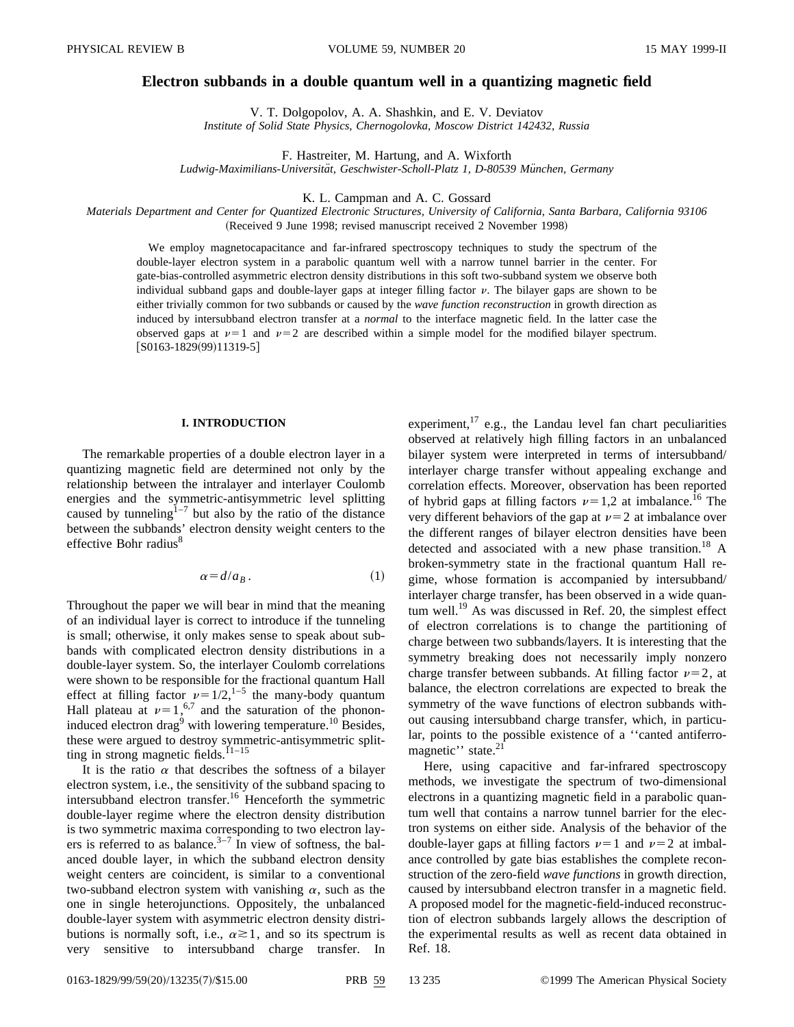# **Electron subbands in a double quantum well in a quantizing magnetic field**

V. T. Dolgopolov, A. A. Shashkin, and E. V. Deviatov *Institute of Solid State Physics, Chernogolovka, Moscow District 142432, Russia*

F. Hastreiter, M. Hartung, and A. Wixforth

Ludwig-Maximilians-Universität, Geschwister-Scholl-Platz 1, D-80539 München, Germany

K. L. Campman and A. C. Gossard

*Materials Department and Center for Quantized Electronic Structures, University of California, Santa Barbara, California 93106* (Received 9 June 1998; revised manuscript received 2 November 1998)

We employ magnetocapacitance and far-infrared spectroscopy techniques to study the spectrum of the double-layer electron system in a parabolic quantum well with a narrow tunnel barrier in the center. For gate-bias-controlled asymmetric electron density distributions in this soft two-subband system we observe both individual subband gaps and double-layer gaps at integer filling factor  $\nu$ . The bilayer gaps are shown to be either trivially common for two subbands or caused by the *wave function reconstruction* in growth direction as induced by intersubband electron transfer at a *normal* to the interface magnetic field. In the latter case the observed gaps at  $\nu=1$  and  $\nu=2$  are described within a simple model for the modified bilayer spectrum.  $[$ S0163-1829(99)11319-5 $]$ 

## **I. INTRODUCTION**

The remarkable properties of a double electron layer in a quantizing magnetic field are determined not only by the relationship between the intralayer and interlayer Coulomb energies and the symmetric-antisymmetric level splitting caused by tunneling $1^{-7}$  but also by the ratio of the distance between the subbands' electron density weight centers to the effective Bohr radius<sup>8</sup>

$$
\alpha = d/a_B \,. \tag{1}
$$

Throughout the paper we will bear in mind that the meaning of an individual layer is correct to introduce if the tunneling is small; otherwise, it only makes sense to speak about subbands with complicated electron density distributions in a double-layer system. So, the interlayer Coulomb correlations were shown to be responsible for the fractional quantum Hall effect at filling factor  $\nu=1/2$ ,<sup>1–5</sup> the many-body quantum Hall plateau at  $\nu=1,6,7$  and the saturation of the phononinduced electron drag<sup>9</sup> with lowering temperature.<sup>10</sup> Besides, these were argued to destroy symmetric-antisymmetric splitting in strong magnetic fields.<sup> $11-15$ </sup>

It is the ratio  $\alpha$  that describes the softness of a bilayer electron system, i.e., the sensitivity of the subband spacing to intersubband electron transfer.16 Henceforth the symmetric double-layer regime where the electron density distribution is two symmetric maxima corresponding to two electron layers is referred to as balance.<sup>3–7</sup> In view of softness, the balanced double layer, in which the subband electron density weight centers are coincident, is similar to a conventional two-subband electron system with vanishing  $\alpha$ , such as the one in single heterojunctions. Oppositely, the unbalanced double-layer system with asymmetric electron density distributions is normally soft, i.e.,  $\alpha \ge 1$ , and so its spectrum is very sensitive to intersubband charge transfer. In experiment, $^{17}$  e.g., the Landau level fan chart peculiarities observed at relatively high filling factors in an unbalanced bilayer system were interpreted in terms of intersubband/ interlayer charge transfer without appealing exchange and correlation effects. Moreover, observation has been reported of hybrid gaps at filling factors  $\nu=1,2$  at imbalance.<sup>16</sup> The very different behaviors of the gap at  $\nu=2$  at imbalance over the different ranges of bilayer electron densities have been detected and associated with a new phase transition.<sup>18</sup> A broken-symmetry state in the fractional quantum Hall regime, whose formation is accompanied by intersubband/ interlayer charge transfer, has been observed in a wide quantum well.<sup>19</sup> As was discussed in Ref. 20, the simplest effect of electron correlations is to change the partitioning of charge between two subbands/layers. It is interesting that the symmetry breaking does not necessarily imply nonzero charge transfer between subbands. At filling factor  $\nu=2$ , at balance, the electron correlations are expected to break the symmetry of the wave functions of electron subbands without causing intersubband charge transfer, which, in particular, points to the possible existence of a ''canted antiferromagnetic'' state.<sup>21</sup>

Here, using capacitive and far-infrared spectroscopy methods, we investigate the spectrum of two-dimensional electrons in a quantizing magnetic field in a parabolic quantum well that contains a narrow tunnel barrier for the electron systems on either side. Analysis of the behavior of the double-layer gaps at filling factors  $\nu=1$  and  $\nu=2$  at imbalance controlled by gate bias establishes the complete reconstruction of the zero-field *wave functions* in growth direction, caused by intersubband electron transfer in a magnetic field. A proposed model for the magnetic-field-induced reconstruction of electron subbands largely allows the description of the experimental results as well as recent data obtained in Ref. 18.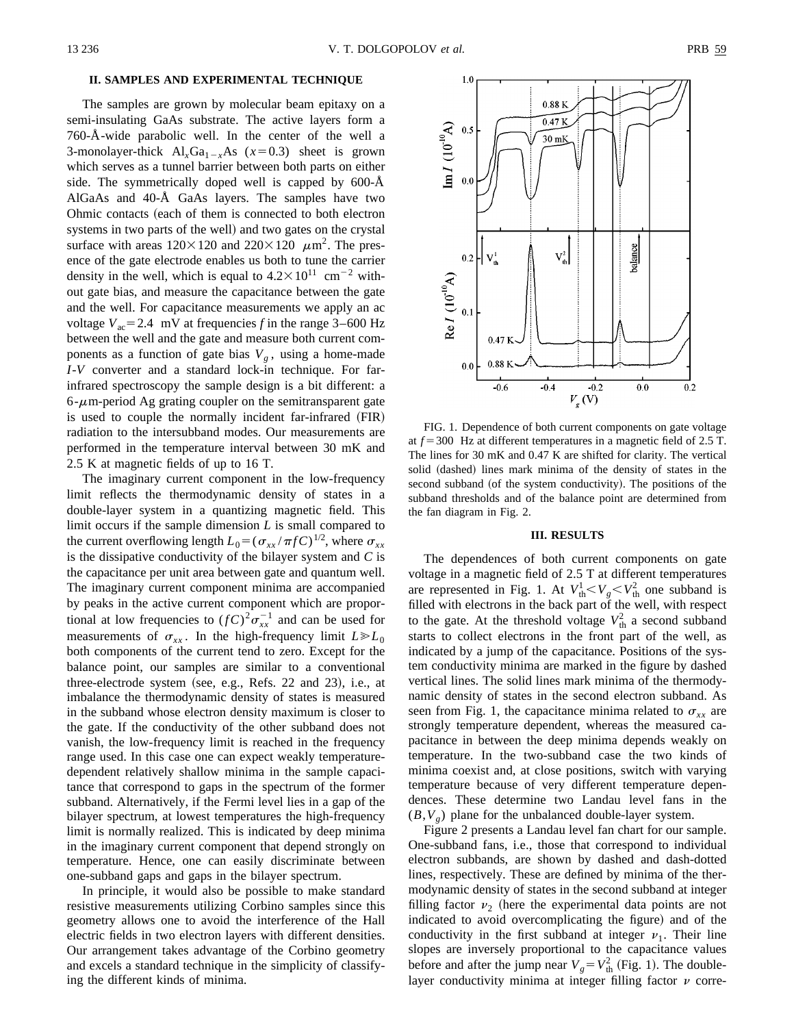# **II. SAMPLES AND EXPERIMENTAL TECHNIQUE**

The samples are grown by molecular beam epitaxy on a semi-insulating GaAs substrate. The active layers form a 760-Å-wide parabolic well. In the center of the well a 3-monolayer-thick  $Al_xGa_{1-x}As$  ( $x=0.3$ ) sheet is grown which serves as a tunnel barrier between both parts on either side. The symmetrically doped well is capped by 600-Å AlGaAs and 40-Å GaAs layers. The samples have two Ohmic contacts (each of them is connected to both electron systems in two parts of the well) and two gates on the crystal surface with areas  $120\times120$  and  $220\times120$   $\mu$ m<sup>2</sup>. The presence of the gate electrode enables us both to tune the carrier density in the well, which is equal to  $4.2 \times 10^{11}$  cm<sup>-2</sup> without gate bias, and measure the capacitance between the gate and the well. For capacitance measurements we apply an ac voltage  $V_{ac}$ = 2.4 mV at frequencies *f* in the range 3–600 Hz between the well and the gate and measure both current components as a function of gate bias  $V_g$ , using a home-made *I*-*V* converter and a standard lock-in technique. For farinfrared spectroscopy the sample design is a bit different: a  $6-\mu$ m-period Ag grating coupler on the semitransparent gate is used to couple the normally incident far-infrared (FIR) radiation to the intersubband modes. Our measurements are performed in the temperature interval between 30 mK and 2.5 K at magnetic fields of up to 16 T.

The imaginary current component in the low-frequency limit reflects the thermodynamic density of states in a double-layer system in a quantizing magnetic field. This limit occurs if the sample dimension *L* is small compared to the current overflowing length  $L_0 = (\sigma_{xx}/\pi f C)^{1/2}$ , where  $\sigma_{xx}$ is the dissipative conductivity of the bilayer system and *C* is the capacitance per unit area between gate and quantum well. The imaginary current component minima are accompanied by peaks in the active current component which are proportional at low frequencies to  $(fC)^2 \sigma_{xx}^{-1}$  and can be used for measurements of  $\sigma_{xx}$ . In the high-frequency limit  $L \ge L_0$ both components of the current tend to zero. Except for the balance point, our samples are similar to a conventional three-electrode system (see, e.g., Refs. 22 and 23), i.e., at imbalance the thermodynamic density of states is measured in the subband whose electron density maximum is closer to the gate. If the conductivity of the other subband does not vanish, the low-frequency limit is reached in the frequency range used. In this case one can expect weakly temperaturedependent relatively shallow minima in the sample capacitance that correspond to gaps in the spectrum of the former subband. Alternatively, if the Fermi level lies in a gap of the bilayer spectrum, at lowest temperatures the high-frequency limit is normally realized. This is indicated by deep minima in the imaginary current component that depend strongly on temperature. Hence, one can easily discriminate between one-subband gaps and gaps in the bilayer spectrum.

In principle, it would also be possible to make standard resistive measurements utilizing Corbino samples since this geometry allows one to avoid the interference of the Hall electric fields in two electron layers with different densities. Our arrangement takes advantage of the Corbino geometry and excels a standard technique in the simplicity of classifying the different kinds of minima.



FIG. 1. Dependence of both current components on gate voltage at  $f = 300$  Hz at different temperatures in a magnetic field of 2.5 T. The lines for 30 mK and 0.47 K are shifted for clarity. The vertical solid (dashed) lines mark minima of the density of states in the second subband (of the system conductivity). The positions of the subband thresholds and of the balance point are determined from the fan diagram in Fig. 2.

#### **III. RESULTS**

The dependences of both current components on gate voltage in a magnetic field of 2.5 T at different temperatures are represented in Fig. 1. At  $V_{\text{th}}^1 < V_g < V_{\text{th}}^2$  one subband is filled with electrons in the back part of the well, with respect to the gate. At the threshold voltage  $V_{th}^2$  a second subband starts to collect electrons in the front part of the well, as indicated by a jump of the capacitance. Positions of the system conductivity minima are marked in the figure by dashed vertical lines. The solid lines mark minima of the thermodynamic density of states in the second electron subband. As seen from Fig. 1, the capacitance minima related to  $\sigma_{xx}$  are strongly temperature dependent, whereas the measured capacitance in between the deep minima depends weakly on temperature. In the two-subband case the two kinds of minima coexist and, at close positions, switch with varying temperature because of very different temperature dependences. These determine two Landau level fans in the  $(B, V)$  plane for the unbalanced double-layer system.

Figure 2 presents a Landau level fan chart for our sample. One-subband fans, i.e., those that correspond to individual electron subbands, are shown by dashed and dash-dotted lines, respectively. These are defined by minima of the thermodynamic density of states in the second subband at integer filling factor  $v_2$  (here the experimental data points are not indicated to avoid overcomplicating the figure) and of the conductivity in the first subband at integer  $\nu_1$ . Their line slopes are inversely proportional to the capacitance values before and after the jump near  $V_g = V_{th}^2$  (Fig. 1). The doublelayer conductivity minima at integer filling factor  $\nu$  corre-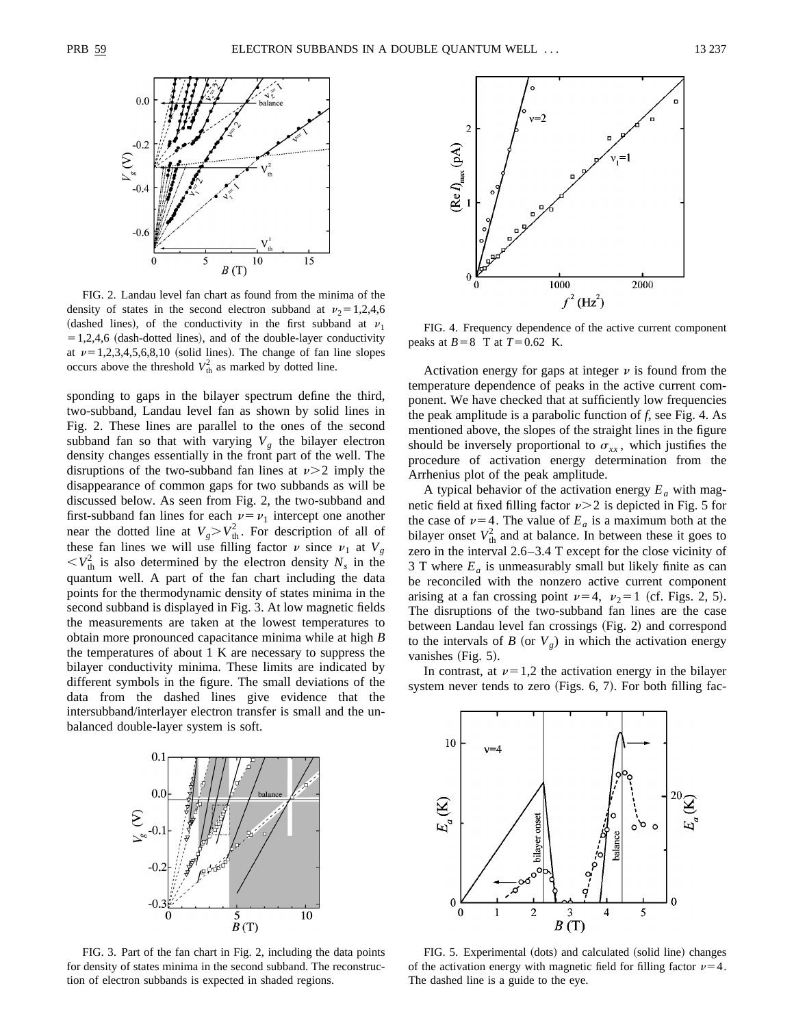

FIG. 2. Landau level fan chart as found from the minima of the density of states in the second electron subband at  $v_2 = 1,2,4,6$ (dashed lines), of the conductivity in the first subband at  $v_1$  $=1,2,4,6$  (dash-dotted lines), and of the double-layer conductivity at  $\nu=1,2,3,4,5,6,8,10$  (solid lines). The change of fan line slopes occurs above the threshold  $V_{\text{th}}^2$  as marked by dotted line.

sponding to gaps in the bilayer spectrum define the third, two-subband, Landau level fan as shown by solid lines in Fig. 2. These lines are parallel to the ones of the second subband fan so that with varying  $V_g$  the bilayer electron density changes essentially in the front part of the well. The disruptions of the two-subband fan lines at  $\nu$  > 2 imply the disappearance of common gaps for two subbands as will be discussed below. As seen from Fig. 2, the two-subband and first-subband fan lines for each  $\nu = \nu_1$  intercept one another near the dotted line at  $V_g > V_{th}^2$ . For description of all of these fan lines we will use filling factor  $\nu$  since  $\nu_1$  at  $V_g$  $\langle V_{\text{th}}^2 \rangle$  is also determined by the electron density  $N_s$  in the quantum well. A part of the fan chart including the data points for the thermodynamic density of states minima in the second subband is displayed in Fig. 3. At low magnetic fields the measurements are taken at the lowest temperatures to obtain more pronounced capacitance minima while at high *B* the temperatures of about 1 K are necessary to suppress the bilayer conductivity minima. These limits are indicated by different symbols in the figure. The small deviations of the data from the dashed lines give evidence that the intersubband/interlayer electron transfer is small and the unbalanced double-layer system is soft.



FIG. 4. Frequency dependence of the active current component peaks at  $B=8$  T at  $T=0.62$  K.

Activation energy for gaps at integer  $\nu$  is found from the temperature dependence of peaks in the active current component. We have checked that at sufficiently low frequencies the peak amplitude is a parabolic function of *f*, see Fig. 4. As mentioned above, the slopes of the straight lines in the figure should be inversely proportional to  $\sigma_{xx}$ , which justifies the procedure of activation energy determination from the Arrhenius plot of the peak amplitude.

A typical behavior of the activation energy  $E_a$  with magnetic field at fixed filling factor  $\nu$  > 2 is depicted in Fig. 5 for the case of  $\nu=4$ . The value of  $E_a$  is a maximum both at the bilayer onset  $V_{\text{th}}^2$  and at balance. In between these it goes to zero in the interval 2.6–3.4 T except for the close vicinity of 3 T where  $E_a$  is unmeasurably small but likely finite as can be reconciled with the nonzero active current component arising at a fan crossing point  $\nu=4$ ,  $\nu_2=1$  (cf. Figs. 2, 5). The disruptions of the two-subband fan lines are the case between Landau level fan crossings (Fig. 2) and correspond to the intervals of *B* (or  $V_g$ ) in which the activation energy vanishes  $(Fig. 5)$ .

In contrast, at  $\nu=1,2$  the activation energy in the bilayer system never tends to zero (Figs.  $6, 7$ ). For both filling fac-



FIG. 3. Part of the fan chart in Fig. 2, including the data points for density of states minima in the second subband. The reconstruction of electron subbands is expected in shaded regions.



FIG. 5. Experimental (dots) and calculated (solid line) changes of the activation energy with magnetic field for filling factor  $\nu=4$ . The dashed line is a guide to the eye.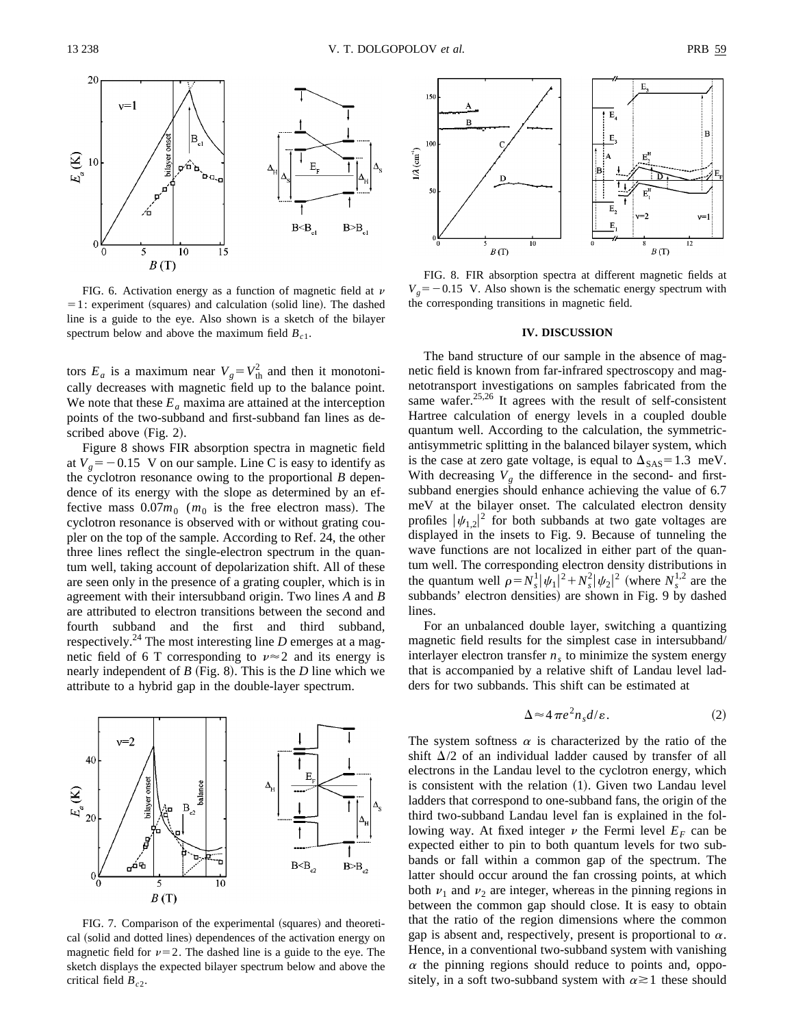

FIG. 6. Activation energy as a function of magnetic field at  $\nu$  $= 1$ : experiment (squares) and calculation (solid line). The dashed line is a guide to the eye. Also shown is a sketch of the bilayer spectrum below and above the maximum field  $B_{c1}$ .

tors  $E_a$  is a maximum near  $V_g = V_{th}^2$  and then it monotonically decreases with magnetic field up to the balance point. We note that these  $E_a$  maxima are attained at the interception points of the two-subband and first-subband fan lines as described above  $(Fig. 2)$ .

Figure 8 shows FIR absorption spectra in magnetic field at  $V_g = -0.15$  V on our sample. Line C is easy to identify as the cyclotron resonance owing to the proportional *B* dependence of its energy with the slope as determined by an effective mass  $0.07m_0$  ( $m_0$  is the free electron mass). The cyclotron resonance is observed with or without grating coupler on the top of the sample. According to Ref. 24, the other three lines reflect the single-electron spectrum in the quantum well, taking account of depolarization shift. All of these are seen only in the presence of a grating coupler, which is in agreement with their intersubband origin. Two lines *A* and *B* are attributed to electron transitions between the second and fourth subband and the first and third subband, respectively.<sup>24</sup> The most interesting line  $D$  emerges at a magnetic field of 6 T corresponding to  $\nu \approx 2$  and its energy is nearly independent of  $B$  (Fig. 8). This is the  $D$  line which we attribute to a hybrid gap in the double-layer spectrum.



FIG. 7. Comparison of the experimental (squares) and theoretical (solid and dotted lines) dependences of the activation energy on magnetic field for  $\nu=2$ . The dashed line is a guide to the eye. The sketch displays the expected bilayer spectrum below and above the critical field  $B_{c2}$ .



FIG. 8. FIR absorption spectra at different magnetic fields at  $V_g = -0.15$  V. Also shown is the schematic energy spectrum with the corresponding transitions in magnetic field.

## **IV. DISCUSSION**

The band structure of our sample in the absence of magnetic field is known from far-infrared spectroscopy and magnetotransport investigations on samples fabricated from the same wafer.<sup>25,26</sup> It agrees with the result of self-consistent Hartree calculation of energy levels in a coupled double quantum well. According to the calculation, the symmetricantisymmetric splitting in the balanced bilayer system, which is the case at zero gate voltage, is equal to  $\Delta_{SAS} = 1.3$  meV. With decreasing  $V_g$  the difference in the second- and firstsubband energies should enhance achieving the value of 6.7 meV at the bilayer onset. The calculated electron density profiles  $|\psi_{1,2}|^2$  for both subbands at two gate voltages are displayed in the insets to Fig. 9. Because of tunneling the wave functions are not localized in either part of the quantum well. The corresponding electron density distributions in the quantum well  $\rho = N_s^1 |\psi_1|^2 + N_s^2 |\psi_2|^2$  (where  $N_s^{1,2}$  are the subbands' electron densities) are shown in Fig. 9 by dashed lines.

For an unbalanced double layer, switching a quantizing magnetic field results for the simplest case in intersubband/ interlayer electron transfer  $n<sub>s</sub>$  to minimize the system energy that is accompanied by a relative shift of Landau level ladders for two subbands. This shift can be estimated at

$$
\Delta \approx 4 \pi e^2 n_s d/\varepsilon. \tag{2}
$$

The system softness  $\alpha$  is characterized by the ratio of the shift  $\Delta/2$  of an individual ladder caused by transfer of all electrons in the Landau level to the cyclotron energy, which is consistent with the relation  $(1)$ . Given two Landau level ladders that correspond to one-subband fans, the origin of the third two-subband Landau level fan is explained in the following way. At fixed integer  $\nu$  the Fermi level  $E_F$  can be expected either to pin to both quantum levels for two subbands or fall within a common gap of the spectrum. The latter should occur around the fan crossing points, at which both  $\nu_1$  and  $\nu_2$  are integer, whereas in the pinning regions in between the common gap should close. It is easy to obtain that the ratio of the region dimensions where the common gap is absent and, respectively, present is proportional to  $\alpha$ . Hence, in a conventional two-subband system with vanishing  $\alpha$  the pinning regions should reduce to points and, oppositely, in a soft two-subband system with  $\alpha \geq 1$  these should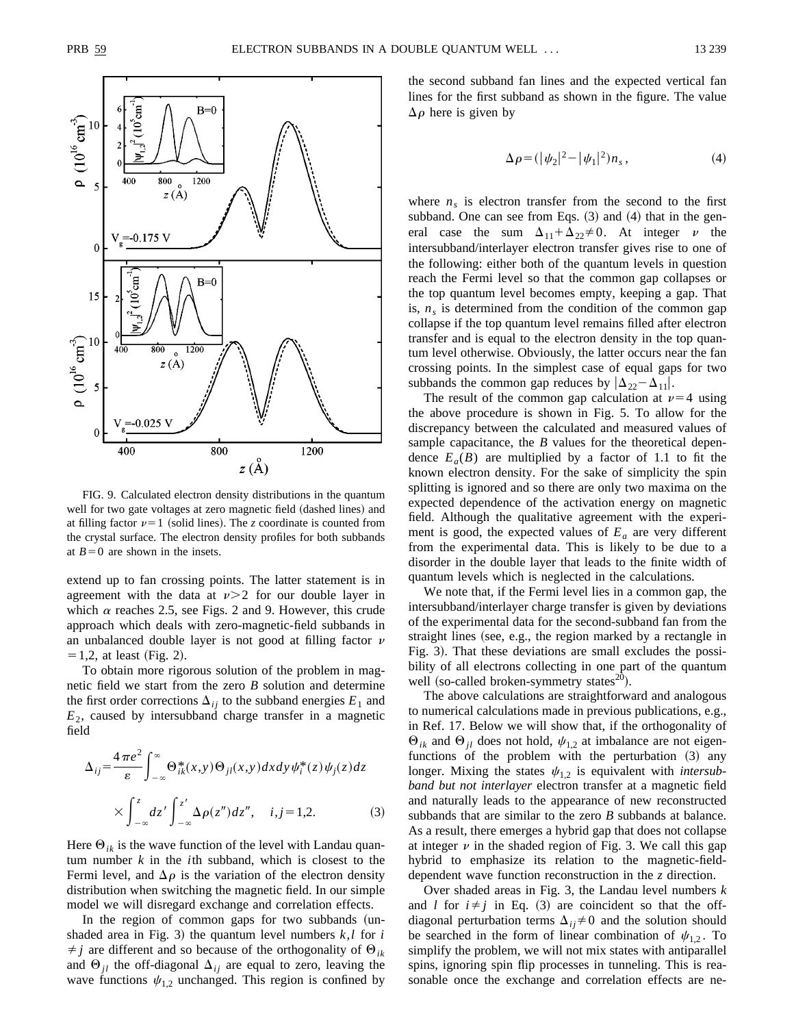

FIG. 9. Calculated electron density distributions in the quantum well for two gate voltages at zero magnetic field (dashed lines) and at filling factor  $\nu=1$  (solid lines). The *z* coordinate is counted from the crystal surface. The electron density profiles for both subbands at  $B=0$  are shown in the insets.

extend up to fan crossing points. The latter statement is in agreement with the data at  $\nu > 2$  for our double layer in which  $\alpha$  reaches 2.5, see Figs. 2 and 9. However, this crude approach which deals with zero-magnetic-field subbands in an unbalanced double layer is not good at filling factor  $\nu$  $= 1,2$ , at least (Fig. 2).

To obtain more rigorous solution of the problem in magnetic field we start from the zero *B* solution and determine the first order corrections  $\Delta_{ij}$  to the subband energies  $E_1$  and  $E_2$ , caused by intersubband charge transfer in a magnetic field

$$
\Delta_{ij} = \frac{4\pi e^2}{\varepsilon} \int_{-\infty}^{\infty} \Theta_{ik}^*(x, y) \Theta_{jl}(x, y) dx dy \psi_i^*(z) \psi_j(z) dz
$$
  
 
$$
\times \int_{-\infty}^{z} dz' \int_{-\infty}^{z'} \Delta \rho(z'') dz'', \quad i, j = 1, 2. \tag{3}
$$

Here  $\Theta_{ik}$  is the wave function of the level with Landau quantum number *k* in the *i*th subband, which is closest to the Fermi level, and  $\Delta \rho$  is the variation of the electron density distribution when switching the magnetic field. In our simple model we will disregard exchange and correlation effects.

In the region of common gaps for two subbands (unshaded area in Fig. 3) the quantum level numbers  $k, l$  for  $i$  $\neq j$  are different and so because of the orthogonality of  $\Theta_{ik}$ and  $\Theta_{jl}$  the off-diagonal  $\Delta_{ij}$  are equal to zero, leaving the wave functions  $\psi_{1,2}$  unchanged. This region is confined by the second subband fan lines and the expected vertical fan lines for the first subband as shown in the figure. The value  $\Delta \rho$  here is given by

$$
\Delta \rho = (|\psi_2|^2 - |\psi_1|^2) n_s, \tag{4}
$$

where  $n<sub>s</sub>$  is electron transfer from the second to the first subband. One can see from Eqs.  $(3)$  and  $(4)$  that in the general case the sum  $\Delta_{11} + \Delta_{22} \neq 0$ . At integer v the intersubband/interlayer electron transfer gives rise to one of the following: either both of the quantum levels in question reach the Fermi level so that the common gap collapses or the top quantum level becomes empty, keeping a gap. That is,  $n<sub>s</sub>$  is determined from the condition of the common gap collapse if the top quantum level remains filled after electron transfer and is equal to the electron density in the top quantum level otherwise. Obviously, the latter occurs near the fan crossing points. In the simplest case of equal gaps for two subbands the common gap reduces by  $|\Delta_{22} - \Delta_{11}|$ .

The result of the common gap calculation at  $\nu=4$  using the above procedure is shown in Fig. 5. To allow for the discrepancy between the calculated and measured values of sample capacitance, the *B* values for the theoretical dependence  $E_a(B)$  are multiplied by a factor of 1.1 to fit the known electron density. For the sake of simplicity the spin splitting is ignored and so there are only two maxima on the expected dependence of the activation energy on magnetic field. Although the qualitative agreement with the experiment is good, the expected values of  $E_a$  are very different from the experimental data. This is likely to be due to a disorder in the double layer that leads to the finite width of quantum levels which is neglected in the calculations.

We note that, if the Fermi level lies in a common gap, the intersubband/interlayer charge transfer is given by deviations of the experimental data for the second-subband fan from the straight lines (see, e.g., the region marked by a rectangle in Fig. 3). That these deviations are small excludes the possibility of all electrons collecting in one part of the quantum well (so-called broken-symmetry states<sup>20</sup>).

The above calculations are straightforward and analogous to numerical calculations made in previous publications, e.g., in Ref. 17. Below we will show that, if the orthogonality of  $\Theta_{ik}$  and  $\Theta_{il}$  does not hold,  $\psi_{1,2}$  at imbalance are not eigenfunctions of the problem with the perturbation  $(3)$  any longer. Mixing the states  $\psi_{1,2}$  is equivalent with *intersubband but not interlayer* electron transfer at a magnetic field and naturally leads to the appearance of new reconstructed subbands that are similar to the zero *B* subbands at balance. As a result, there emerges a hybrid gap that does not collapse at integer  $\nu$  in the shaded region of Fig. 3. We call this gap hybrid to emphasize its relation to the magnetic-fielddependent wave function reconstruction in the *z* direction.

Over shaded areas in Fig. 3, the Landau level numbers *k* and *l* for  $i \neq j$  in Eq. (3) are coincident so that the offdiagonal perturbation terms  $\Delta_{ij} \neq 0$  and the solution should be searched in the form of linear combination of  $\psi_{1,2}$ . To simplify the problem, we will not mix states with antiparallel spins, ignoring spin flip processes in tunneling. This is reasonable once the exchange and correlation effects are ne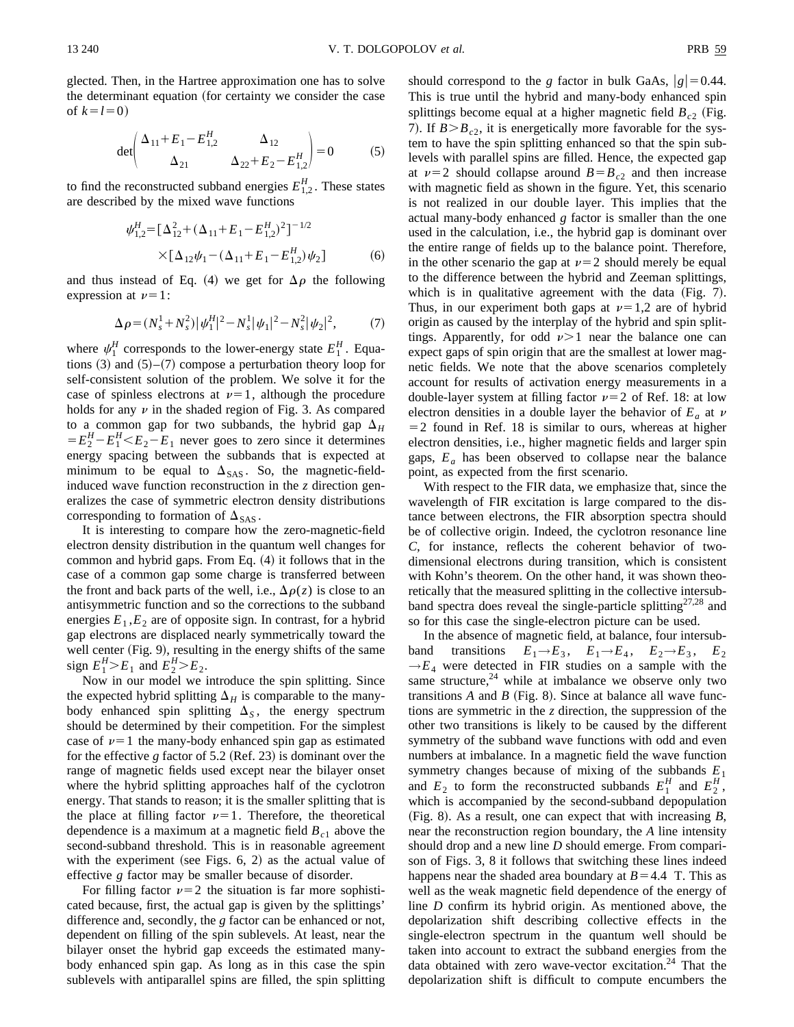glected. Then, in the Hartree approximation one has to solve the determinant equation (for certainty we consider the case of  $k=l=0$ )

$$
\det \begin{pmatrix} \Delta_{11} + E_1 - E_{1,2}^H & \Delta_{12} \\ \Delta_{21} & \Delta_{22} + E_2 - E_{1,2}^H \end{pmatrix} = 0
$$
 (5)

to find the reconstructed subband energies  $E_{1,2}^H$ . These states are described by the mixed wave functions

$$
\psi_{1,2}^H = \left[\Delta_{12}^2 + (\Delta_{11} + E_1 - E_{1,2}^H)^2\right]^{-1/2}
$$
  
 
$$
\times \left[\Delta_{12}\psi_1 - (\Delta_{11} + E_1 - E_{1,2}^H)\psi_2\right]
$$
 (6)

and thus instead of Eq. (4) we get for  $\Delta \rho$  the following expression at  $\nu=1$ :

$$
\Delta \rho = (N_s^1 + N_s^2) |\psi_1^H|^2 - N_s^1 |\psi_1|^2 - N_s^2 |\psi_2|^2, \tag{7}
$$

where  $\psi_1^H$  corresponds to the lower-energy state  $E_1^H$ . Equations  $(3)$  and  $(5)$ – $(7)$  compose a perturbation theory loop for self-consistent solution of the problem. We solve it for the case of spinless electrons at  $\nu=1$ , although the procedure holds for any  $\nu$  in the shaded region of Fig. 3. As compared to a common gap for two subbands, the hybrid gap  $\Delta_H$  $=E_2^H - E_1^H < E_2 - E_1$  never goes to zero since it determines energy spacing between the subbands that is expected at minimum to be equal to  $\Delta_{SAS}$ . So, the magnetic-fieldinduced wave function reconstruction in the *z* direction generalizes the case of symmetric electron density distributions corresponding to formation of  $\Delta_{SAS}$ .

It is interesting to compare how the zero-magnetic-field electron density distribution in the quantum well changes for common and hybrid gaps. From Eq.  $(4)$  it follows that in the case of a common gap some charge is transferred between the front and back parts of the well, i.e.,  $\Delta \rho(z)$  is close to an antisymmetric function and so the corrections to the subband energies  $E_1$ , $E_2$  are of opposite sign. In contrast, for a hybrid gap electrons are displaced nearly symmetrically toward the well center  $(Fig. 9)$ , resulting in the energy shifts of the same sign  $E_1^H > E_1$  and  $E_2^H > E_2$ .

Now in our model we introduce the spin splitting. Since the expected hybrid splitting  $\Delta_H$  is comparable to the manybody enhanced spin splitting  $\Delta_S$ , the energy spectrum should be determined by their competition. For the simplest case of  $\nu=1$  the many-body enhanced spin gap as estimated for the effective  $g$  factor of 5.2 (Ref. 23) is dominant over the range of magnetic fields used except near the bilayer onset where the hybrid splitting approaches half of the cyclotron energy. That stands to reason; it is the smaller splitting that is the place at filling factor  $\nu=1$ . Therefore, the theoretical dependence is a maximum at a magnetic field  $B<sub>c1</sub>$  above the second-subband threshold. This is in reasonable agreement with the experiment (see Figs.  $6, 2$ ) as the actual value of effective *g* factor may be smaller because of disorder.

For filling factor  $\nu=2$  the situation is far more sophisticated because, first, the actual gap is given by the splittings' difference and, secondly, the *g* factor can be enhanced or not, dependent on filling of the spin sublevels. At least, near the bilayer onset the hybrid gap exceeds the estimated manybody enhanced spin gap. As long as in this case the spin sublevels with antiparallel spins are filled, the spin splitting should correspond to the *g* factor in bulk GaAs,  $|g|=0.44$ . This is true until the hybrid and many-body enhanced spin splittings become equal at a higher magnetic field  $B_{c2}$  (Fig. 7). If  $B > B_{c2}$ , it is energetically more favorable for the system to have the spin splitting enhanced so that the spin sublevels with parallel spins are filled. Hence, the expected gap at  $\nu=2$  should collapse around  $B=B_{c2}$  and then increase with magnetic field as shown in the figure. Yet, this scenario is not realized in our double layer. This implies that the actual many-body enhanced *g* factor is smaller than the one used in the calculation, i.e., the hybrid gap is dominant over the entire range of fields up to the balance point. Therefore, in the other scenario the gap at  $\nu=2$  should merely be equal to the difference between the hybrid and Zeeman splittings, which is in qualitative agreement with the data  $(Fig. 7)$ . Thus, in our experiment both gaps at  $\nu=1,2$  are of hybrid origin as caused by the interplay of the hybrid and spin splittings. Apparently, for odd  $\nu > 1$  near the balance one can expect gaps of spin origin that are the smallest at lower magnetic fields. We note that the above scenarios completely account for results of activation energy measurements in a double-layer system at filling factor  $\nu=2$  of Ref. 18: at low electron densities in a double layer the behavior of  $E_a$  at  $\nu$  $=$  2 found in Ref. 18 is similar to ours, whereas at higher electron densities, i.e., higher magnetic fields and larger spin gaps,  $E_a$  has been observed to collapse near the balance point, as expected from the first scenario.

With respect to the FIR data, we emphasize that, since the wavelength of FIR excitation is large compared to the distance between electrons, the FIR absorption spectra should be of collective origin. Indeed, the cyclotron resonance line *C*, for instance, reflects the coherent behavior of twodimensional electrons during transition, which is consistent with Kohn's theorem. On the other hand, it was shown theoretically that the measured splitting in the collective intersubband spectra does reveal the single-particle splitting $27.28$  and so for this case the single-electron picture can be used.

In the absence of magnetic field, at balance, four intersubband transitions  $E_1 \rightarrow E_3$ ,  $E_1 \rightarrow E_4$ ,  $E_2 \rightarrow E_3$ ,  $E_2$  $\rightarrow E_4$  were detected in FIR studies on a sample with the same structure, $24$  while at imbalance we observe only two transitions  $A$  and  $B$  (Fig. 8). Since at balance all wave functions are symmetric in the *z* direction, the suppression of the other two transitions is likely to be caused by the different symmetry of the subband wave functions with odd and even numbers at imbalance. In a magnetic field the wave function symmetry changes because of mixing of the subbands  $E_1$ and  $E_2$  to form the reconstructed subbands  $E_1^H$  and  $E_2^H$ , which is accompanied by the second-subband depopulation  $(Fig. 8)$ . As a result, one can expect that with increasing *B*, near the reconstruction region boundary, the *A* line intensity should drop and a new line *D* should emerge. From comparison of Figs. 3, 8 it follows that switching these lines indeed happens near the shaded area boundary at  $B=4.4$  T. This as well as the weak magnetic field dependence of the energy of line *D* confirm its hybrid origin. As mentioned above, the depolarization shift describing collective effects in the single-electron spectrum in the quantum well should be taken into account to extract the subband energies from the data obtained with zero wave-vector excitation.<sup>24</sup> That the depolarization shift is difficult to compute encumbers the